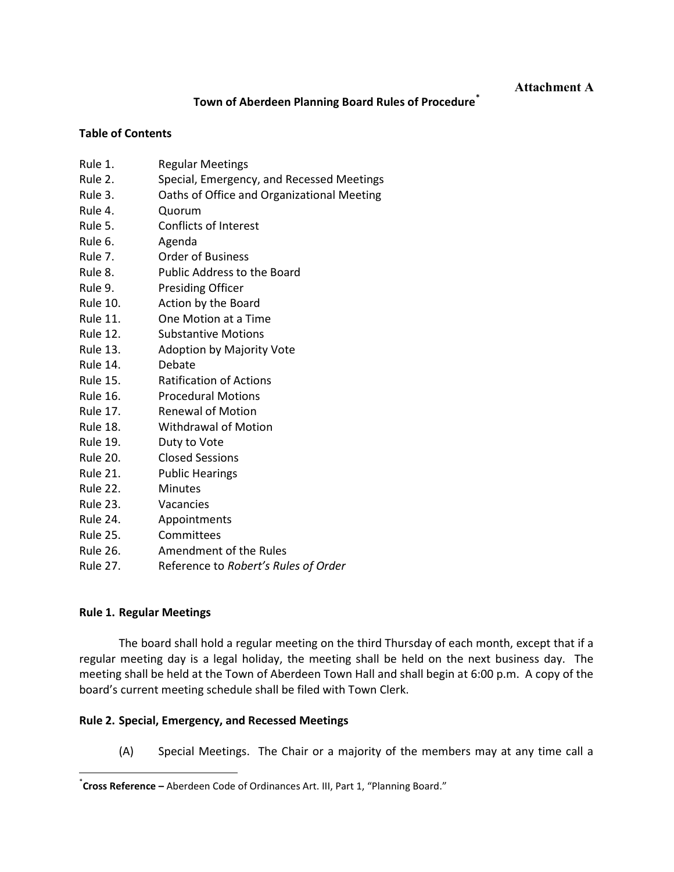**Attachment A** 

## **Town of Aberdeen Planning Board Rules of Procedure\***

#### **Table of Contents**

- Rule 1. Regular Meetings
- Rule 2. Special, Emergency, and Recessed Meetings
- Rule 3. Caths of Office and Organizational Meeting
- Rule 4. Quorum
- Rule 5. Conflicts of Interest
- Rule 6. Agenda
- Rule 7. Order of Business
- Rule 8. Public Address to the Board
- Rule 9. Presiding Officer
- Rule 10. Action by the Board
- Rule 11. One Motion at a Time
- Rule 12. Substantive Motions
- Rule 13. Adoption by Majority Vote
- Rule 14. Debate
- Rule 15. Ratification of Actions
- Rule 16. Procedural Motions
- Rule 17. Renewal of Motion
- Rule 18. Withdrawal of Motion
- Rule 19. Duty to Vote
- Rule 20. Closed Sessions
- Rule 21. Public Hearings
- Rule 22. Minutes
- Rule 23. Vacancies
- Rule 24. Appointments
- Rule 25. Committees
- Rule 26. Amendment of the Rules
- Rule 27. Reference to *Robert's Rules of Order*

## **Rule 1. Regular Meetings**

<u> 1989 - Jan Samuel Barbara, poeta estadounidense de la propia de la propia de la propia de la propia de la pr</u>

The board shall hold a regular meeting on the third Thursday of each month, except that if a regular meeting day is a legal holiday, the meeting shall be held on the next business day. The meeting shall be held at the Town of Aberdeen Town Hall and shall begin at 6:00 p.m. A copy of the board's current meeting schedule shall be filed with Town Clerk.

## **Rule 2. Special, Emergency, and Recessed Meetings**

(A) Special Meetings. The Chair or a majority of the members may at any time call a

**<sup>\*</sup>Cross Reference –** Aberdeen Code of Ordinances Art. III, Part 1, "Planning Board."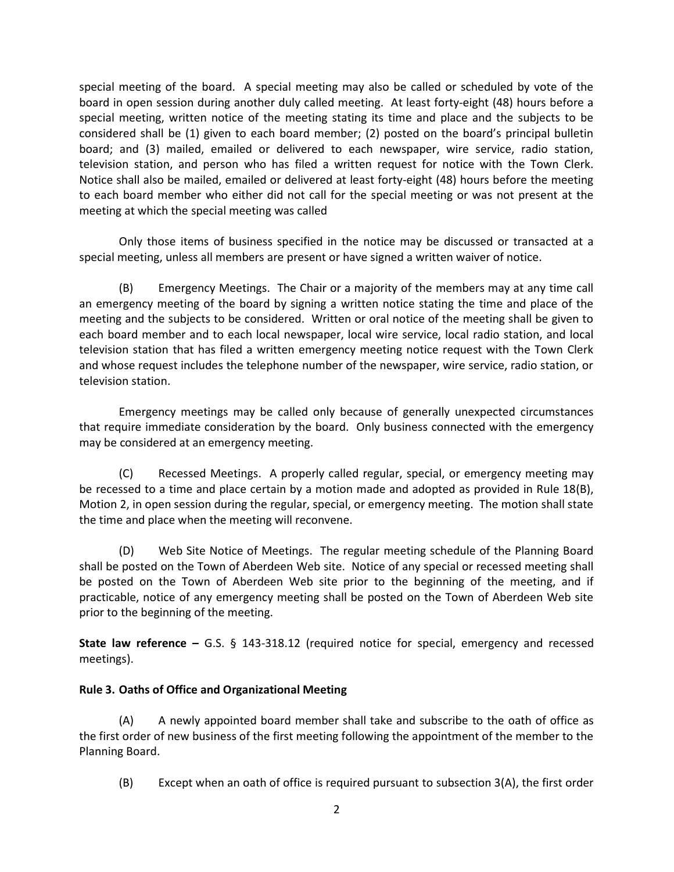special meeting of the board. A special meeting may also be called or scheduled by vote of the board in open session during another duly called meeting. At least forty-eight (48) hours before a special meeting, written notice of the meeting stating its time and place and the subjects to be considered shall be (1) given to each board member; (2) posted on the board's principal bulletin board; and (3) mailed, emailed or delivered to each newspaper, wire service, radio station, television station, and person who has filed a written request for notice with the Town Clerk. Notice shall also be mailed, emailed or delivered at least forty‐eight (48) hours before the meeting to each board member who either did not call for the special meeting or was not present at the meeting at which the special meeting was called

Only those items of business specified in the notice may be discussed or transacted at a special meeting, unless all members are present or have signed a written waiver of notice.

(B) Emergency Meetings. The Chair or a majority of the members may at any time call an emergency meeting of the board by signing a written notice stating the time and place of the meeting and the subjects to be considered. Written or oral notice of the meeting shall be given to each board member and to each local newspaper, local wire service, local radio station, and local television station that has filed a written emergency meeting notice request with the Town Clerk and whose request includes the telephone number of the newspaper, wire service, radio station, or television station.

Emergency meetings may be called only because of generally unexpected circumstances that require immediate consideration by the board. Only business connected with the emergency may be considered at an emergency meeting.

(C) Recessed Meetings. A properly called regular, special, or emergency meeting may be recessed to a time and place certain by a motion made and adopted as provided in Rule 18(B), Motion 2, in open session during the regular, special, or emergency meeting. The motion shall state the time and place when the meeting will reconvene.

(D) Web Site Notice of Meetings. The regular meeting schedule of the Planning Board shall be posted on the Town of Aberdeen Web site. Notice of any special or recessed meeting shall be posted on the Town of Aberdeen Web site prior to the beginning of the meeting, and if practicable, notice of any emergency meeting shall be posted on the Town of Aberdeen Web site prior to the beginning of the meeting.

**State law reference –** G.S. § 143-318.12 (required notice for special, emergency and recessed meetings).

## **Rule 3. Oaths of Office and Organizational Meeting**

(A) A newly appointed board member shall take and subscribe to the oath of office as the first order of new business of the first meeting following the appointment of the member to the Planning Board.

(B) Except when an oath of office is required pursuant to subsection 3(A), the first order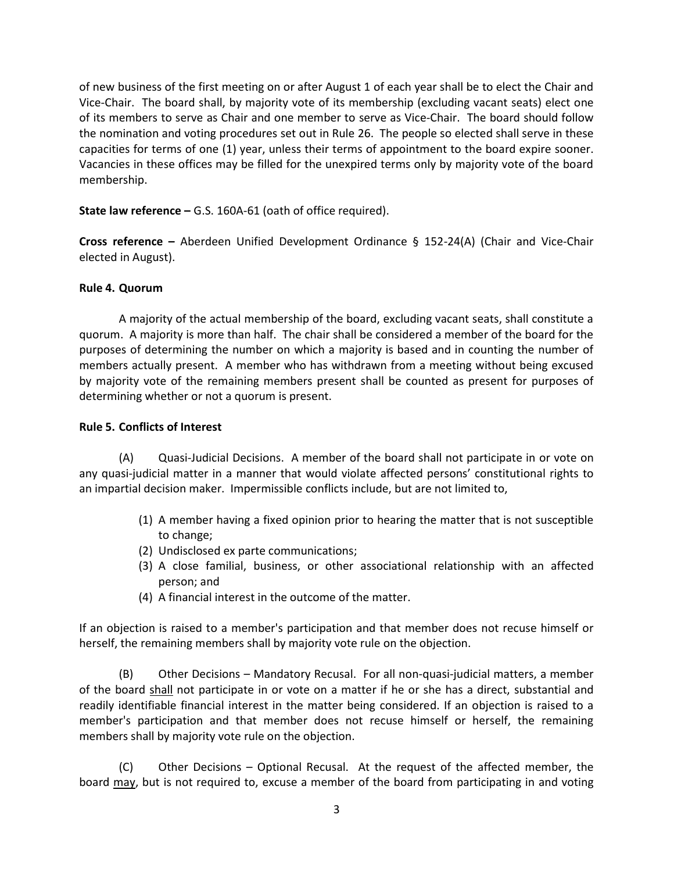of new business of the first meeting on or after August 1 of each year shall be to elect the Chair and Vice‐Chair. The board shall, by majority vote of its membership (excluding vacant seats) elect one of its members to serve as Chair and one member to serve as Vice‐Chair. The board should follow the nomination and voting procedures set out in Rule 26. The people so elected shall serve in these capacities for terms of one (1) year, unless their terms of appointment to the board expire sooner. Vacancies in these offices may be filled for the unexpired terms only by majority vote of the board membership.

**State law reference –** G.S. 160A‐61 (oath of office required).

**Cross reference –**  Aberdeen Unified Development Ordinance § 152‐24(A) (Chair and Vice‐Chair elected in August).

#### **Rule 4. Quorum**

A majority of the actual membership of the board, excluding vacant seats, shall constitute a quorum. A majority is more than half. The chair shall be considered a member of the board for the purposes of determining the number on which a majority is based and in counting the number of members actually present. A member who has withdrawn from a meeting without being excused by majority vote of the remaining members present shall be counted as present for purposes of determining whether or not a quorum is present.

#### **Rule 5. Conflicts of Interest**

(A) Quasi‐Judicial Decisions. A member of the board shall not participate in or vote on any quasi‐judicial matter in a manner that would violate affected persons' constitutional rights to an impartial decision maker. Impermissible conflicts include, but are not limited to,

- (1) A member having a fixed opinion prior to hearing the matter that is not susceptible to change;
- (2) Undisclosed ex parte communications;
- (3) A close familial, business, or other associational relationship with an affected person; and
- (4) A financial interest in the outcome of the matter.

If an objection is raised to a member's participation and that member does not recuse himself or herself, the remaining members shall by majority vote rule on the objection.

(B) Other Decisions – Mandatory Recusal. For all non‐quasi‐judicial matters, a member of the board shall not participate in or vote on a matter if he or she has a direct, substantial and readily identifiable financial interest in the matter being considered. If an objection is raised to a member's participation and that member does not recuse himself or herself, the remaining members shall by majority vote rule on the objection.

(C) Other Decisions – Optional Recusal. At the request of the affected member, the board may, but is not required to, excuse a member of the board from participating in and voting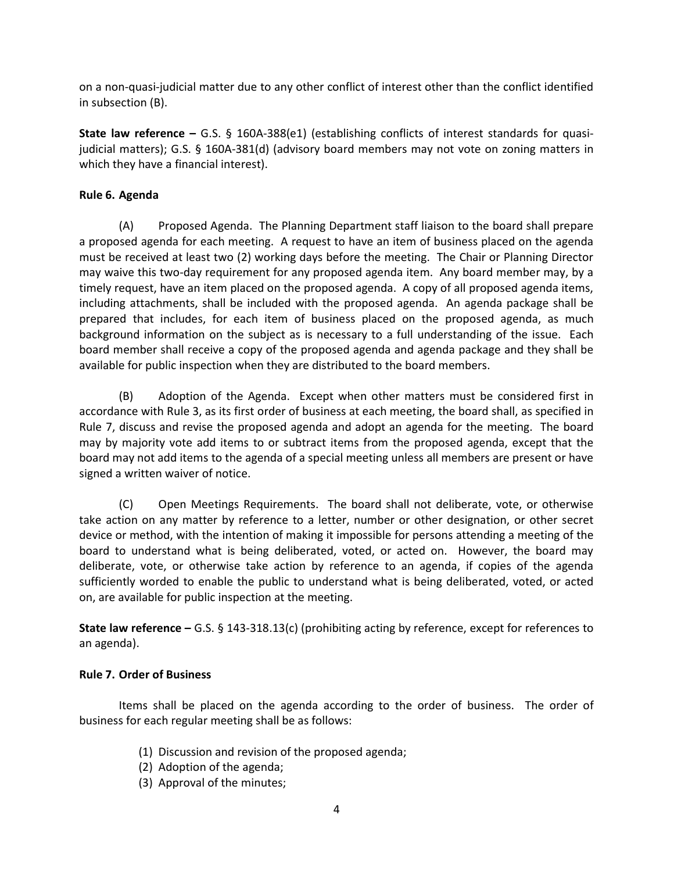on a non‐quasi‐judicial matter due to any other conflict of interest other than the conflict identified in subsection (B).

**State law reference –** G.S. § 160A-388(e1) (establishing conflicts of interest standards for quasijudicial matters); G.S. § 160A‐381(d) (advisory board members may not vote on zoning matters in which they have a financial interest).

## **Rule 6. Agenda**

(A) Proposed Agenda. The Planning Department staff liaison to the board shall prepare a proposed agenda for each meeting. A request to have an item of business placed on the agenda must be received at least two (2) working days before the meeting. The Chair or Planning Director may waive this two-day requirement for any proposed agenda item. Any board member may, by a timely request, have an item placed on the proposed agenda. A copy of all proposed agenda items, including attachments, shall be included with the proposed agenda. An agenda package shall be prepared that includes, for each item of business placed on the proposed agenda, as much background information on the subject as is necessary to a full understanding of the issue. Each board member shall receive a copy of the proposed agenda and agenda package and they shall be available for public inspection when they are distributed to the board members.

(B) Adoption of the Agenda. Except when other matters must be considered first in accordance with Rule 3, as its first order of business at each meeting, the board shall, as specified in Rule 7, discuss and revise the proposed agenda and adopt an agenda for the meeting. The board may by majority vote add items to or subtract items from the proposed agenda, except that the board may not add items to the agenda of a special meeting unless all members are present or have signed a written waiver of notice.

(C) Open Meetings Requirements. The board shall not deliberate, vote, or otherwise take action on any matter by reference to a letter, number or other designation, or other secret device or method, with the intention of making it impossible for persons attending a meeting of the board to understand what is being deliberated, voted, or acted on. However, the board may deliberate, vote, or otherwise take action by reference to an agenda, if copies of the agenda sufficiently worded to enable the public to understand what is being deliberated, voted, or acted on, are available for public inspection at the meeting.

**State law reference –** G.S. § 143‐318.13(c) (prohibiting acting by reference, except for references to an agenda).

## **Rule 7. Order of Business**

Items shall be placed on the agenda according to the order of business. The order of business for each regular meeting shall be as follows:

- (1) Discussion and revision of the proposed agenda;
- (2) Adoption of the agenda;
- (3) Approval of the minutes;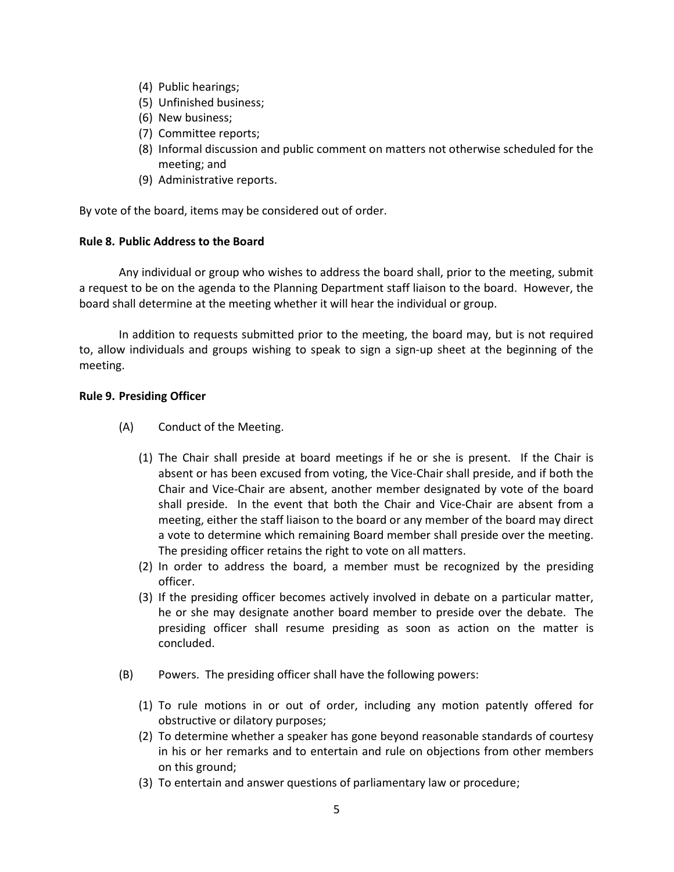- (4) Public hearings;
- (5) Unfinished business;
- (6) New business;
- (7) Committee reports;
- (8) Informal discussion and public comment on matters not otherwise scheduled for the meeting; and
- (9) Administrative reports.

By vote of the board, items may be considered out of order.

#### **Rule 8. Public Address to the Board**

Any individual or group who wishes to address the board shall, prior to the meeting, submit a request to be on the agenda to the Planning Department staff liaison to the board. However, the board shall determine at the meeting whether it will hear the individual or group.

In addition to requests submitted prior to the meeting, the board may, but is not required to, allow individuals and groups wishing to speak to sign a sign-up sheet at the beginning of the meeting.

#### **Rule 9. Presiding Officer**

- (A) Conduct of the Meeting.
	- (1) The Chair shall preside at board meetings if he or she is present. If the Chair is absent or has been excused from voting, the Vice‐Chair shall preside, and if both the Chair and Vice‐Chair are absent, another member designated by vote of the board shall preside. In the event that both the Chair and Vice-Chair are absent from a meeting, either the staff liaison to the board or any member of the board may direct a vote to determine which remaining Board member shall preside over the meeting. The presiding officer retains the right to vote on all matters.
	- (2) In order to address the board, a member must be recognized by the presiding officer.
	- (3) If the presiding officer becomes actively involved in debate on a particular matter, he or she may designate another board member to preside over the debate. The presiding officer shall resume presiding as soon as action on the matter is concluded.
- (B) Powers. The presiding officer shall have the following powers:
	- (1) To rule motions in or out of order, including any motion patently offered for obstructive or dilatory purposes;
	- (2) To determine whether a speaker has gone beyond reasonable standards of courtesy in his or her remarks and to entertain and rule on objections from other members on this ground;
	- (3) To entertain and answer questions of parliamentary law or procedure;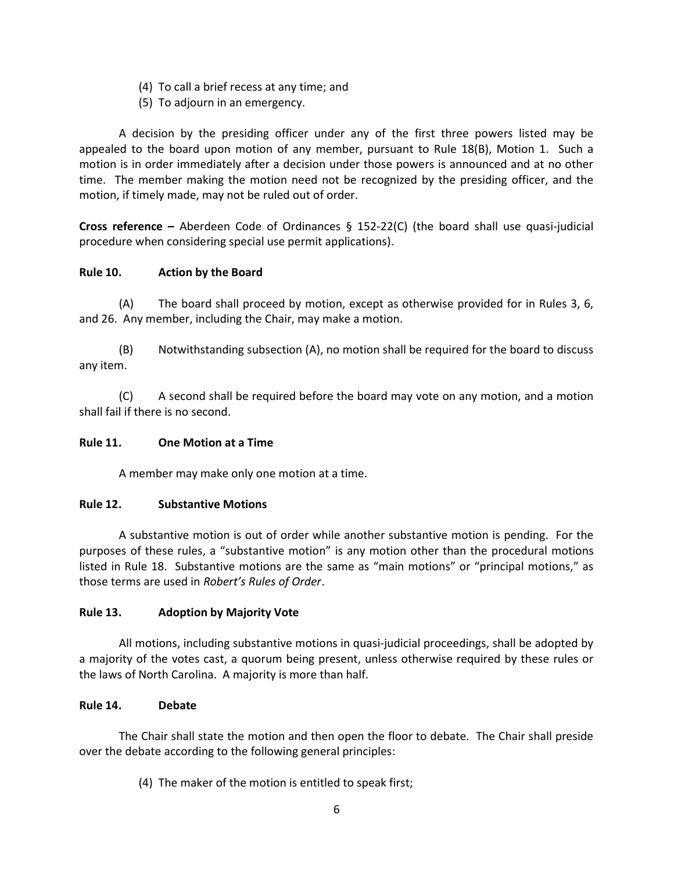- (4) To call a brief recess at any time; and
- (5) To adjourn in an emergency.

A decision by the presiding officer under any of the first three powers listed may be appealed to the board upon motion of any member, pursuant to Rule 18(B), Motion 1. Such a motion is in order immediately after a decision under those powers is announced and at no other time. The member making the motion need not be recognized by the presiding officer, and the motion, if timely made, may not be ruled out of order.

**Cross reference –**  Aberdeen Code of Ordinances § 152‐22(C) (the board shall use quasi‐judicial procedure when considering special use permit applications).

# **Rule 10. Action by the Board**

(A) The board shall proceed by motion, except as otherwise provided for in Rules 3, 6, and 26. Any member, including the Chair, may make a motion.

(B) Notwithstanding subsection (A), no motion shall be required for the board to discuss any item.

(C) A second shall be required before the board may vote on any motion, and a motion shall fail if there is no second.

## **Rule 11. One Motion at a Time**

A member may make only one motion at a time.

## **Rule 12. Substantive Motions**

A substantive motion is out of order while another substantive motion is pending. For the purposes of these rules, a "substantive motion" is any motion other than the procedural motions listed in Rule 18. Substantive motions are the same as "main motions" or "principal motions," as those terms are used in *Robert's Rules of Order*.

## **Rule 13. Adoption by Majority Vote**

All motions, including substantive motions in quasi-judicial proceedings, shall be adopted by a majority of the votes cast, a quorum being present, unless otherwise required by these rules or the laws of North Carolina. A majority is more than half.

## **Rule 14. Debate**

The Chair shall state the motion and then open the floor to debate. The Chair shall preside over the debate according to the following general principles:

(4) The maker of the motion is entitled to speak first;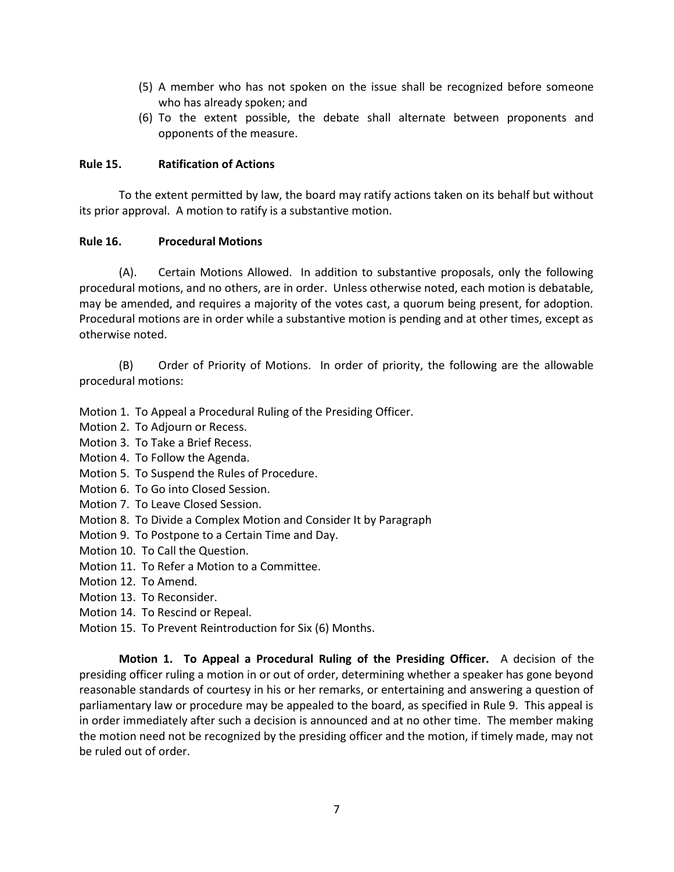- (5) A member who has not spoken on the issue shall be recognized before someone who has already spoken; and
- (6) To the extent possible, the debate shall alternate between proponents and opponents of the measure.

## **Rule 15. Ratification of Actions**

To the extent permitted by law, the board may ratify actions taken on its behalf but without its prior approval. A motion to ratify is a substantive motion.

## **Rule 16. Procedural Motions**

(A). Certain Motions Allowed. In addition to substantive proposals, only the following procedural motions, and no others, are in order. Unless otherwise noted, each motion is debatable, may be amended, and requires a majority of the votes cast, a quorum being present, for adoption. Procedural motions are in order while a substantive motion is pending and at other times, except as otherwise noted.

(B) Order of Priority of Motions. In order of priority, the following are the allowable procedural motions:

Motion 1. To Appeal a Procedural Ruling of the Presiding Officer.

- Motion 2. To Adjourn or Recess.
- Motion 3. To Take a Brief Recess.
- Motion 4. To Follow the Agenda.
- Motion 5. To Suspend the Rules of Procedure.
- Motion 6. To Go into Closed Session.
- Motion 7. To Leave Closed Session.
- Motion 8. To Divide a Complex Motion and Consider It by Paragraph
- Motion 9. To Postpone to a Certain Time and Day.
- Motion 10. To Call the Question.
- Motion 11. To Refer a Motion to a Committee.
- Motion 12. To Amend.
- Motion 13. To Reconsider.
- Motion 14. To Rescind or Repeal.
- Motion 15. To Prevent Reintroduction for Six (6) Months.

**Motion 1. To Appeal a Procedural Ruling of the Presiding Officer.** A decision of the presiding officer ruling a motion in or out of order, determining whether a speaker has gone beyond reasonable standards of courtesy in his or her remarks, or entertaining and answering a question of parliamentary law or procedure may be appealed to the board, as specified in Rule 9. This appeal is in order immediately after such a decision is announced and at no other time. The member making the motion need not be recognized by the presiding officer and the motion, if timely made, may not be ruled out of order.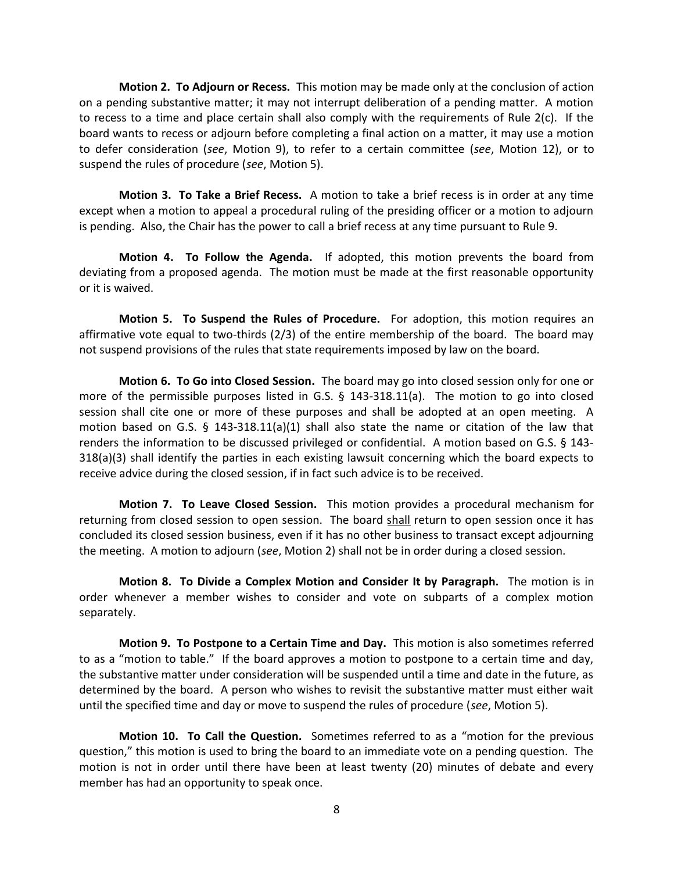**Motion 2. To Adjourn or Recess.** This motion may be made only at the conclusion of action on a pending substantive matter; it may not interrupt deliberation of a pending matter. A motion to recess to a time and place certain shall also comply with the requirements of Rule  $2(c)$ . If the board wants to recess or adjourn before completing a final action on a matter, it may use a motion to defer consideration (*see*, Motion 9), to refer to a certain committee (*see*, Motion 12), or to suspend the rules of procedure (*see*, Motion 5).

**Motion 3. To Take a Brief Recess.** A motion to take a brief recess is in order at any time except when a motion to appeal a procedural ruling of the presiding officer or a motion to adjourn is pending. Also, the Chair has the power to call a brief recess at any time pursuant to Rule 9.

**Motion 4. To Follow the Agenda.** If adopted, this motion prevents the board from deviating from a proposed agenda. The motion must be made at the first reasonable opportunity or it is waived.

**Motion 5. To Suspend the Rules of Procedure.** For adoption, this motion requires an affirmative vote equal to two-thirds (2/3) of the entire membership of the board. The board may not suspend provisions of the rules that state requirements imposed by law on the board.

**Motion 6. To Go into Closed Session.** The board may go into closed session only for one or more of the permissible purposes listed in G.S. § 143-318.11(a). The motion to go into closed session shall cite one or more of these purposes and shall be adopted at an open meeting. A motion based on G.S. § 143-318.11(a)(1) shall also state the name or citation of the law that renders the information to be discussed privileged or confidential. A motion based on G.S. § 143‐ 318(a)(3) shall identify the parties in each existing lawsuit concerning which the board expects to receive advice during the closed session, if in fact such advice is to be received.

**Motion 7. To Leave Closed Session.** This motion provides a procedural mechanism for returning from closed session to open session. The board shall return to open session once it has concluded its closed session business, even if it has no other business to transact except adjourning the meeting. A motion to adjourn (*see*, Motion 2) shall not be in order during a closed session.

**Motion 8. To Divide a Complex Motion and Consider It by Paragraph.** The motion is in order whenever a member wishes to consider and vote on subparts of a complex motion separately.

**Motion 9. To Postpone to a Certain Time and Day.** This motion is also sometimes referred to as a "motion to table." If the board approves a motion to postpone to a certain time and day, the substantive matter under consideration will be suspended until a time and date in the future, as determined by the board. A person who wishes to revisit the substantive matter must either wait until the specified time and day or move to suspend the rules of procedure (*see*, Motion 5).

**Motion 10. To Call the Question.** Sometimes referred to as a "motion for the previous question," this motion is used to bring the board to an immediate vote on a pending question. The motion is not in order until there have been at least twenty (20) minutes of debate and every member has had an opportunity to speak once.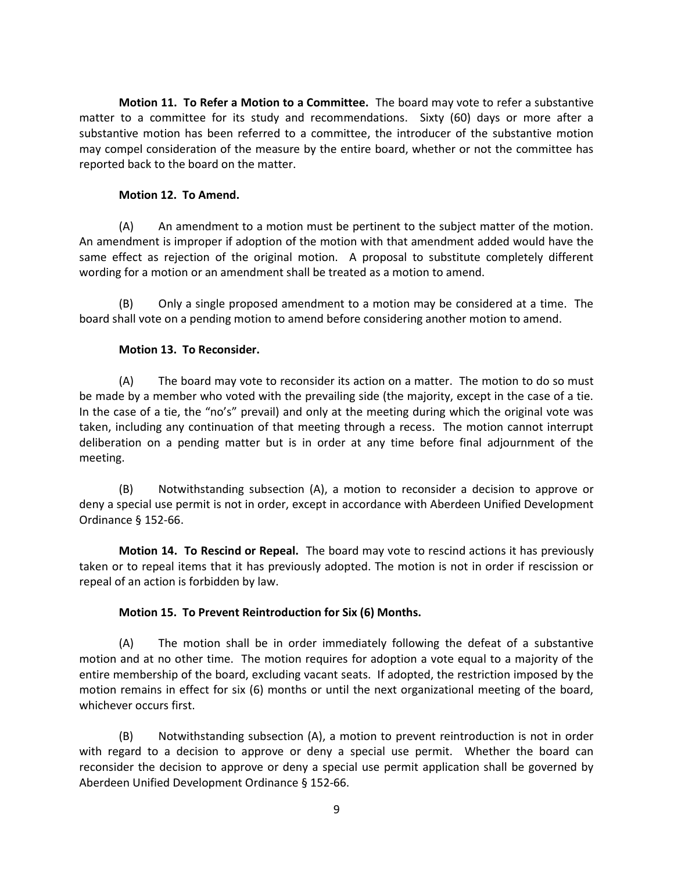**Motion 11. To Refer a Motion to a Committee.** The board may vote to refer a substantive matter to a committee for its study and recommendations. Sixty (60) days or more after a substantive motion has been referred to a committee, the introducer of the substantive motion may compel consideration of the measure by the entire board, whether or not the committee has reported back to the board on the matter.

#### **Motion 12. To Amend.**

(A) An amendment to a motion must be pertinent to the subject matter of the motion. An amendment is improper if adoption of the motion with that amendment added would have the same effect as rejection of the original motion. A proposal to substitute completely different wording for a motion or an amendment shall be treated as a motion to amend.

(B) Only a single proposed amendment to a motion may be considered at a time. The board shall vote on a pending motion to amend before considering another motion to amend.

#### **Motion 13. To Reconsider.**

(A) The board may vote to reconsider its action on a matter. The motion to do so must be made by a member who voted with the prevailing side (the majority, except in the case of a tie. In the case of a tie, the "no's" prevail) and only at the meeting during which the original vote was taken, including any continuation of that meeting through a recess. The motion cannot interrupt deliberation on a pending matter but is in order at any time before final adjournment of the meeting.

(B) Notwithstanding subsection (A), a motion to reconsider a decision to approve or deny a special use permit is not in order, except in accordance with Aberdeen Unified Development Ordinance § 152‐66.

**Motion 14. To Rescind or Repeal.** The board may vote to rescind actions it has previously taken or to repeal items that it has previously adopted. The motion is not in order if rescission or repeal of an action is forbidden by law.

## **Motion 15. To Prevent Reintroduction for Six (6) Months.**

(A) The motion shall be in order immediately following the defeat of a substantive motion and at no other time. The motion requires for adoption a vote equal to a majority of the entire membership of the board, excluding vacant seats. If adopted, the restriction imposed by the motion remains in effect for six (6) months or until the next organizational meeting of the board, whichever occurs first.

(B) Notwithstanding subsection (A), a motion to prevent reintroduction is not in order with regard to a decision to approve or deny a special use permit. Whether the board can reconsider the decision to approve or deny a special use permit application shall be governed by Aberdeen Unified Development Ordinance § 152‐66.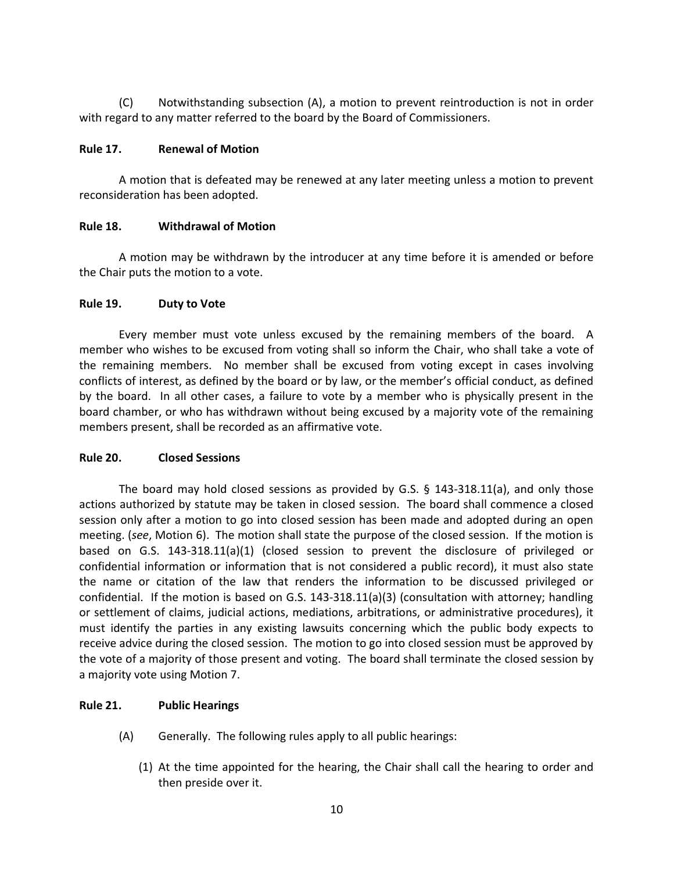(C) Notwithstanding subsection (A), a motion to prevent reintroduction is not in order with regard to any matter referred to the board by the Board of Commissioners.

#### **Rule 17. Renewal of Motion**

A motion that is defeated may be renewed at any later meeting unless a motion to prevent reconsideration has been adopted.

#### **Rule 18. Withdrawal of Motion**

A motion may be withdrawn by the introducer at any time before it is amended or before the Chair puts the motion to a vote.

#### **Rule 19. Duty to Vote**

Every member must vote unless excused by the remaining members of the board. A member who wishes to be excused from voting shall so inform the Chair, who shall take a vote of the remaining members. No member shall be excused from voting except in cases involving conflicts of interest, as defined by the board or by law, or the member's official conduct, as defined by the board. In all other cases, a failure to vote by a member who is physically present in the board chamber, or who has withdrawn without being excused by a majority vote of the remaining members present, shall be recorded as an affirmative vote.

## **Rule 20. Closed Sessions**

The board may hold closed sessions as provided by G.S.  $\S$  143-318.11(a), and only those actions authorized by statute may be taken in closed session. The board shall commence a closed session only after a motion to go into closed session has been made and adopted during an open meeting. (*see*, Motion 6). The motion shall state the purpose of the closed session. If the motion is based on G.S. 143‐318.11(a)(1) (closed session to prevent the disclosure of privileged or confidential information or information that is not considered a public record), it must also state the name or citation of the law that renders the information to be discussed privileged or confidential. If the motion is based on G.S. 143‐318.11(a)(3) (consultation with attorney; handling or settlement of claims, judicial actions, mediations, arbitrations, or administrative procedures), it must identify the parties in any existing lawsuits concerning which the public body expects to receive advice during the closed session. The motion to go into closed session must be approved by the vote of a majority of those present and voting. The board shall terminate the closed session by a majority vote using Motion 7.

## **Rule 21. Public Hearings**

- (A) Generally. The following rules apply to all public hearings:
	- (1) At the time appointed for the hearing, the Chair shall call the hearing to order and then preside over it.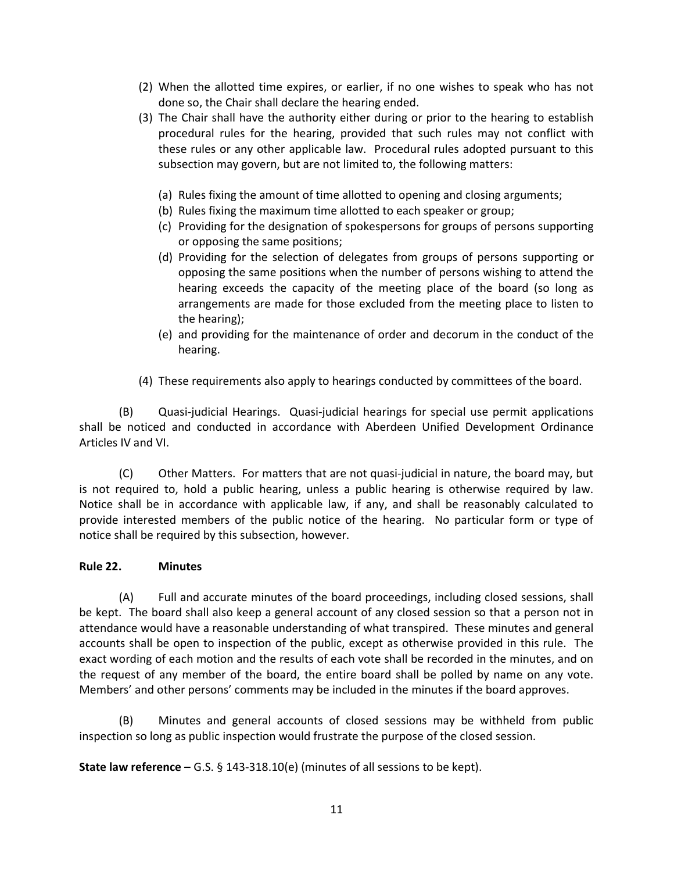- (2) When the allotted time expires, or earlier, if no one wishes to speak who has not done so, the Chair shall declare the hearing ended.
- (3) The Chair shall have the authority either during or prior to the hearing to establish procedural rules for the hearing, provided that such rules may not conflict with these rules or any other applicable law. Procedural rules adopted pursuant to this subsection may govern, but are not limited to, the following matters:
	- (a) Rules fixing the amount of time allotted to opening and closing arguments;
	- (b) Rules fixing the maximum time allotted to each speaker or group;
	- (c) Providing for the designation of spokespersons for groups of persons supporting or opposing the same positions;
	- (d) Providing for the selection of delegates from groups of persons supporting or opposing the same positions when the number of persons wishing to attend the hearing exceeds the capacity of the meeting place of the board (so long as arrangements are made for those excluded from the meeting place to listen to the hearing);
	- (e) and providing for the maintenance of order and decorum in the conduct of the hearing.
- (4) These requirements also apply to hearings conducted by committees of the board.

(B) Quasi‐judicial Hearings. Quasi‐judicial hearings for special use permit applications shall be noticed and conducted in accordance with Aberdeen Unified Development Ordinance Articles IV and VI.

(C) Other Matters. For matters that are not quasi‐judicial in nature, the board may, but is not required to, hold a public hearing, unless a public hearing is otherwise required by law. Notice shall be in accordance with applicable law, if any, and shall be reasonably calculated to provide interested members of the public notice of the hearing. No particular form or type of notice shall be required by this subsection, however.

## **Rule 22. Minutes**

(A) Full and accurate minutes of the board proceedings, including closed sessions, shall be kept. The board shall also keep a general account of any closed session so that a person not in attendance would have a reasonable understanding of what transpired. These minutes and general accounts shall be open to inspection of the public, except as otherwise provided in this rule. The exact wording of each motion and the results of each vote shall be recorded in the minutes, and on the request of any member of the board, the entire board shall be polled by name on any vote. Members' and other persons' comments may be included in the minutes if the board approves.

(B) Minutes and general accounts of closed sessions may be withheld from public inspection so long as public inspection would frustrate the purpose of the closed session.

**State law reference –** G.S. § 143‐318.10(e) (minutes of all sessions to be kept).